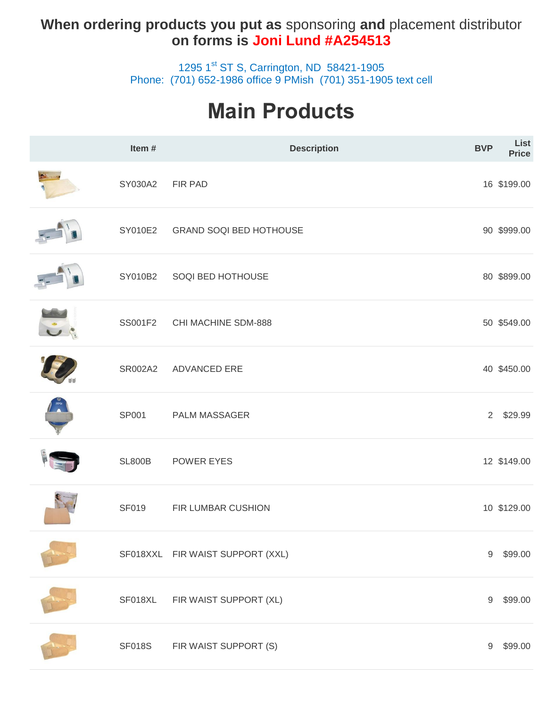### **When ordering products you put as** sponsoring **and** placement distributor **on forms is Joni Lund #A254513**

1295 1<sup>st</sup> ST S, Carrington, ND 58421-1905 Phone: (701) 652-1986 office 9 PMish (701) 351-1905 text cell

# **Main Products**

| Item#         | <b>Description</b>               | <b>BVP</b>       | List<br><b>Price</b> |
|---------------|----------------------------------|------------------|----------------------|
| SY030A2       | FIR PAD                          |                  | 16 \$199.00          |
| SY010E2       | <b>GRAND SOQI BED HOTHOUSE</b>   |                  | 90 \$999.00          |
| SY010B2       | SOQI BED HOTHOUSE                |                  | 80 \$899.00          |
| SS001F2       | CHI MACHINE SDM-888              |                  | 50 \$549.00          |
| SR002A2       | <b>ADVANCED ERE</b>              |                  | 40 \$450.00          |
| SP001         | <b>PALM MASSAGER</b>             | $2^{\circ}$      | \$29.99              |
| <b>SL800B</b> | POWER EYES                       |                  | 12 \$149.00          |
| <b>SF019</b>  | FIR LUMBAR CUSHION               |                  | 10 \$129.00          |
|               | SF018XXL FIR WAIST SUPPORT (XXL) | 9                | \$99.00              |
| SF018XL       | FIR WAIST SUPPORT (XL)           | 9                | \$99.00              |
| <b>SF018S</b> | FIR WAIST SUPPORT (S)            | $\boldsymbol{9}$ | \$99.00              |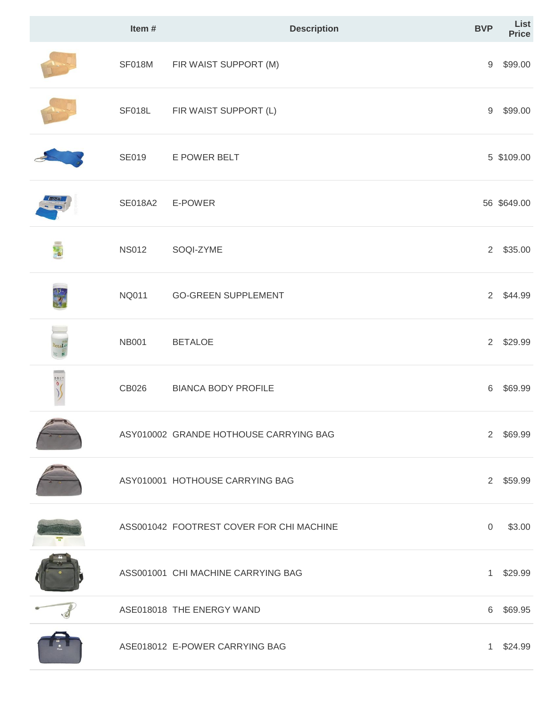|                     | Item#          | <b>Description</b>                       | <b>BVP</b>       | List<br><b>Price</b> |
|---------------------|----------------|------------------------------------------|------------------|----------------------|
|                     | SF018M         | FIR WAIST SUPPORT (M)                    | $\boldsymbol{9}$ | \$99.00              |
|                     | SF018L         | FIR WAIST SUPPORT (L)                    | 9                | \$99.00              |
|                     | <b>SE019</b>   | E POWER BELT                             |                  | 5 \$109.00           |
| $F = -d$            | <b>SE018A2</b> | E-POWER                                  |                  | 56 \$649.00          |
| 馬                   | <b>NS012</b>   | SOQI-ZYME                                | $2^{\circ}$      | \$35.00              |
|                     | <b>NQ011</b>   | <b>GO-GREEN SUPPLEMENT</b>               | $2^{\circ}$      | \$44.99              |
| BetaLo              | <b>NB001</b>   | <b>BETALOE</b>                           | $2^{\circ}$      | \$29.99              |
| $rac{10000}{10000}$ | CB026          | <b>BIANCA BODY PROFILE</b>               | 6                | \$69.99              |
|                     |                | ASY010002 GRANDE HOTHOUSE CARRYING BAG   | $2^{\circ}$      | \$69.99              |
|                     |                | ASY010001 HOTHOUSE CARRYING BAG          |                  | 2 \$59.99            |
|                     |                | ASS001042 FOOTREST COVER FOR CHI MACHINE | $\mathbf 0$      | \$3.00               |
|                     |                | ASS001001 CHI MACHINE CARRYING BAG       | 1                | \$29.99              |
|                     |                | ASE018018 THE ENERGY WAND                |                  | 6 \$69.95            |
|                     |                | ASE018012 E-POWER CARRYING BAG           |                  | 1 \$24.99            |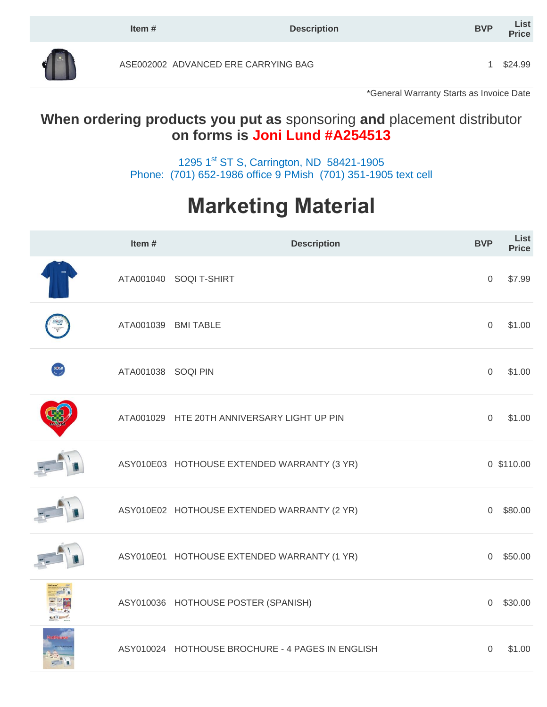|                              | Item $#$                            | <b>Description</b> | <b>BVP</b> | List<br><b>Price</b> |
|------------------------------|-------------------------------------|--------------------|------------|----------------------|
| <b>THE</b><br>$\blacksquare$ | ASE002002 ADVANCED ERE CARRYING BAG |                    |            | \$24.99              |

\*General Warranty Starts as Invoice Date

# **When ordering products you put as** sponsoring **and** placement distributor **on forms is Joni Lund #A254513**

1295 1<sup>st</sup> ST S, Carrington, ND 58421-1905 Phone: (701) 652-1986 office 9 PMish (701) 351-1905 text cell

# **Marketing Material**

|              | Item $#$            | <b>Description</b>                               | <b>BVP</b>     | List<br><b>Price</b> |
|--------------|---------------------|--------------------------------------------------|----------------|----------------------|
|              |                     | ATA001040 SOQI T-SHIRT                           | $\overline{0}$ | \$7.99               |
|              | ATA001039 BMI TABLE |                                                  | $\mathbf 0$    | \$1.00               |
| soal         | ATA001038 SOQI PIN  |                                                  | $\mathbf 0$    | \$1.00               |
|              |                     | ATA001029 HTE 20TH ANNIVERSARY LIGHT UP PIN      | $\mathbf 0$    | \$1.00               |
|              |                     | ASY010E03 HOTHOUSE EXTENDED WARRANTY (3 YR)      |                | 0 \$110.00           |
|              |                     | ASY010E02 HOTHOUSE EXTENDED WARRANTY (2 YR)      | $\overline{0}$ | \$80.00              |
|              |                     | ASY010E01 HOTHOUSE EXTENDED WARRANTY (1 YR)      | $\overline{0}$ | \$50.00              |
| <b>CATER</b> |                     | ASY010036 HOTHOUSE POSTER (SPANISH)              | $\overline{0}$ | \$30.00              |
|              |                     | ASY010024 HOTHOUSE BROCHURE - 4 PAGES IN ENGLISH | $\overline{0}$ | \$1.00               |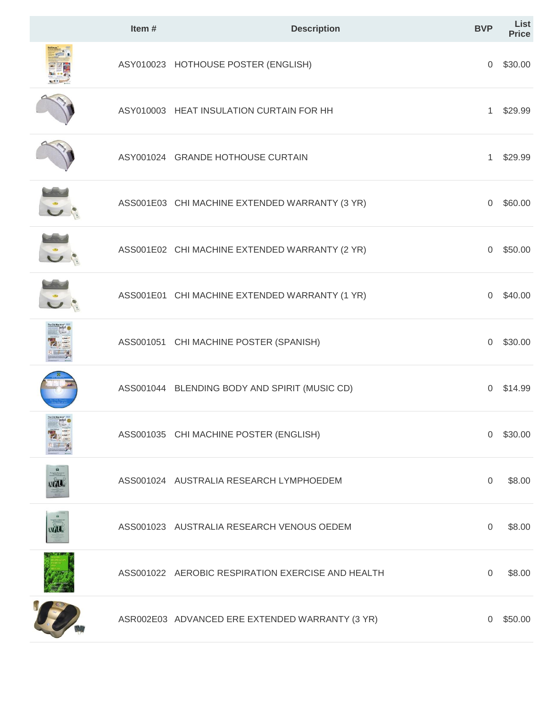|                              | Item# | <b>Description</b>                                | <b>BVP</b>     | List<br><b>Price</b> |
|------------------------------|-------|---------------------------------------------------|----------------|----------------------|
|                              |       | ASY010023 HOTHOUSE POSTER (ENGLISH)               | 0              | \$30.00              |
|                              |       | ASY010003 HEAT INSULATION CURTAIN FOR HH          | 1              | \$29.99              |
|                              |       | ASY001024 GRANDE HOTHOUSE CURTAIN                 | $\mathbf{1}$   | \$29.99              |
|                              |       | ASS001E03 CHI MACHINE EXTENDED WARRANTY (3 YR)    | 0              | \$60.00              |
|                              |       | ASS001E02 CHI MACHINE EXTENDED WARRANTY (2 YR)    | 0              | \$50.00              |
|                              |       | ASS001E01 CHI MACHINE EXTENDED WARRANTY (1 YR)    | $\Omega$       | \$40.00              |
|                              |       | ASS001051 CHI MACHINE POSTER (SPANISH)            | $\overline{0}$ | \$30.00              |
|                              |       | ASS001044 BLENDING BODY AND SPIRIT (MUSIC CD)     | 0              | \$14.99              |
| The Chi Machine <sup>t</sup> |       | ASS001035 CHI MACHINE POSTER (ENGLISH)            | $\Omega$       | \$30.00              |
| <b>VUL</b>                   |       | ASS001024 AUSTRALIA RESEARCH LYMPHOEDEM           | 0              | \$8.00               |
| <b>WILL</b>                  |       | ASS001023 AUSTRALIA RESEARCH VENOUS OEDEM         | 0              | \$8.00               |
|                              |       | ASS001022 AEROBIC RESPIRATION EXERCISE AND HEALTH | 0              | \$8.00               |
|                              |       | ASR002E03 ADVANCED ERE EXTENDED WARRANTY (3 YR)   | 0              | \$50.00              |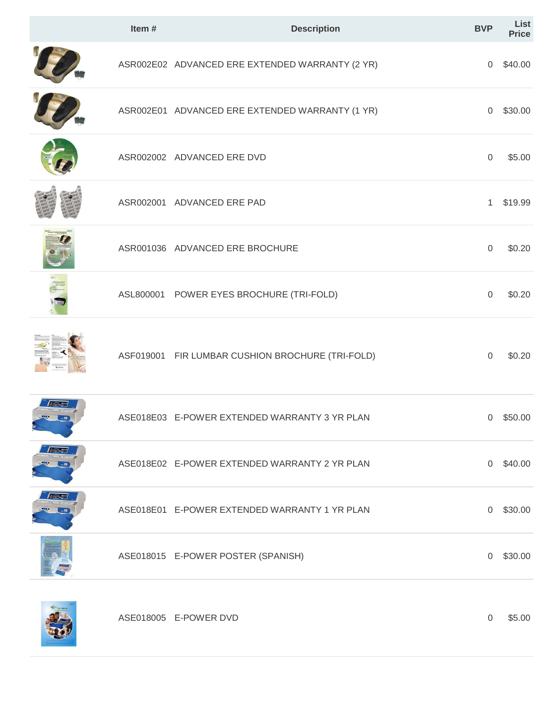| Item# | <b>Description</b>                               | <b>BVP</b>          | List<br><b>Price</b> |
|-------|--------------------------------------------------|---------------------|----------------------|
|       | ASR002E02 ADVANCED ERE EXTENDED WARRANTY (2 YR)  | $\overline{0}$      | \$40.00              |
|       | ASR002E01 ADVANCED ERE EXTENDED WARRANTY (1 YR)  | $\overline{0}$      | \$30.00              |
|       | ASR002002 ADVANCED ERE DVD                       | $\mathbf 0$         | \$5.00               |
|       | ASR002001 ADVANCED ERE PAD                       | $\mathbf{1}$        | \$19.99              |
|       | ASR001036 ADVANCED ERE BROCHURE                  | $\mathbf 0$         | \$0.20               |
|       | ASL800001 POWER EYES BROCHURE (TRI-FOLD)         | $\mathsf{O}\xspace$ | \$0.20               |
|       | ASF019001 FIR LUMBAR CUSHION BROCHURE (TRI-FOLD) | $\mathsf{O}\xspace$ | \$0.20               |
|       | ASE018E03 E-POWER EXTENDED WARRANTY 3 YR PLAN    |                     | $0$ \$50.00          |
|       | ASE018E02 E-POWER EXTENDED WARRANTY 2 YR PLAN    | $\overline{0}$      | \$40.00              |
|       | ASE018E01 E-POWER EXTENDED WARRANTY 1 YR PLAN    | $\overline{0}$      | \$30.00              |
|       | ASE018015 E-POWER POSTER (SPANISH)               | $\boldsymbol{0}$    | \$30.00              |
|       | ASE018005 E-POWER DVD                            | $\boldsymbol{0}$    | \$5.00               |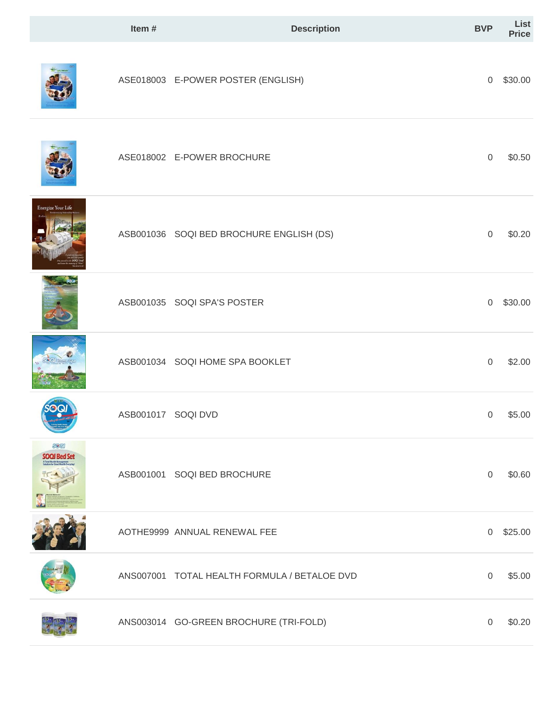|                      | Item#              | <b>Description</b>                           | <b>BVP</b>          | List<br>Price |
|----------------------|--------------------|----------------------------------------------|---------------------|---------------|
|                      |                    | ASE018003 E-POWER POSTER (ENGLISH)           | 0                   | \$30.00       |
|                      |                    | ASE018002 E-POWER BROCHURE                   | $\mathbf 0$         | \$0.50        |
| Energize Your Life   |                    | ASB001036 SOQI BED BROCHURE ENGLISH (DS)     | $\mathsf{O}\xspace$ | \$0.20        |
|                      |                    | ASB001035 SOQI SPA'S POSTER                  | $\boldsymbol{0}$    | \$30.00       |
|                      |                    | ASB001034 SOQI HOME SPA BOOKLET              | $\mathbf 0$         | \$2.00        |
|                      | ASB001017 SOQI DVD |                                              | $\overline{0}$      | \$5.00        |
| SOOI<br>SOQI Bed Set |                    | ASB001001 SOQI BED BROCHURE                  | $\mathbf 0$         | \$0.60        |
|                      |                    | AOTHE9999 ANNUAL RENEWAL FEE                 | 0                   | \$25.00       |
|                      |                    | ANS007001 TOTAL HEALTH FORMULA / BETALOE DVD | $\mathbf 0$         | \$5.00        |
|                      |                    | ANS003014 GO-GREEN BROCHURE (TRI-FOLD)       | $\,0\,$             | \$0.20        |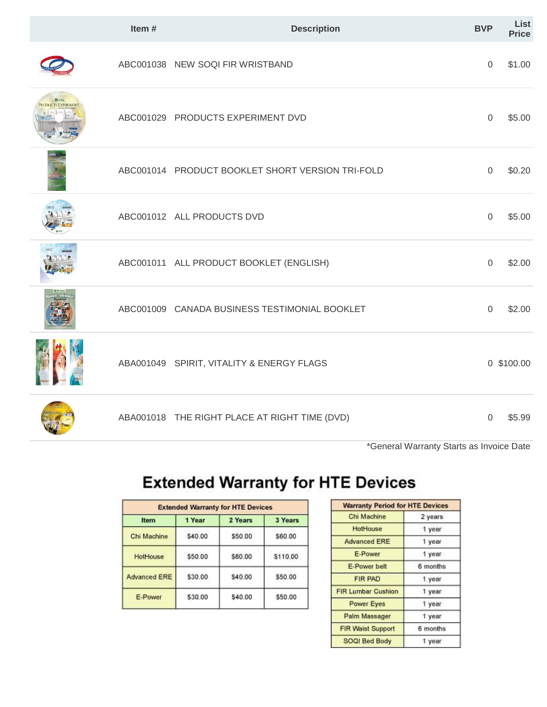|                                             | Item# | <b>Description</b>                               | <b>BVP</b>     | List<br><b>Price</b> |
|---------------------------------------------|-------|--------------------------------------------------|----------------|----------------------|
|                                             |       | ABC001038 NEW SOQI FIR WRISTBAND                 | $\overline{0}$ | \$1.00               |
| <b>36 HTE</b><br><b>PRODUCTS EXPERIMENT</b> |       | ABC001029 PRODUCTS EXPERIMENT DVD                | $\mathbf 0$    | \$5.00               |
|                                             |       | ABC001014 PRODUCT BOOKLET SHORT VERSION TRI-FOLD | $\mathbf 0$    | \$0.20               |
|                                             |       | ABC001012 ALL PRODUCTS DVD                       | $\overline{0}$ | \$5.00               |
|                                             |       | ABC001011 ALL PRODUCT BOOKLET (ENGLISH)          | $\overline{0}$ | \$2.00               |
|                                             |       | ABC001009 CANADA BUSINESS TESTIMONIAL BOOKLET    | $\mathbf 0$    | \$2.00               |
|                                             |       | ABA001049 SPIRIT, VITALITY & ENERGY FLAGS        |                | 0 \$100.00           |
|                                             |       | ABA001018 THE RIGHT PLACE AT RIGHT TIME (DVD)    | $\Omega$       | \$5.99               |

\*General Warranty Starts as Invoice Date

# **Extended Warranty for HTE Devices**

| <b>Extended Warranty for HTE Devices</b> |         |         |          |  |  |
|------------------------------------------|---------|---------|----------|--|--|
| Item                                     | 1 Year  | 2 Years | 3 Years  |  |  |
| Chi Machine                              | \$40.00 | \$50.00 | \$60.00  |  |  |
| HotHouse                                 | \$50.00 | \$80.00 | \$110.00 |  |  |
| <b>Advanced ERE</b>                      | \$30.00 | \$40.00 | \$50.00  |  |  |
| E-Power                                  | \$30.00 | \$40.00 | \$50.00  |  |  |

| <b>Warranty Period for HTE Devices</b> |          |
|----------------------------------------|----------|
| Chi Machine                            | 2 years  |
| HotHouse                               | 1 year   |
| <b>Advanced ERE</b>                    | 1 year   |
| E-Power                                | 1 year   |
| E-Power belt                           | 6 months |
| <b>FIR PAD</b>                         | 1 year   |
| <b>FIR Lumbar Cushion</b>              | 1 year   |
| <b>Power Eyes</b>                      | 1 year   |
| Palm Massager                          | 1 year   |
| <b>FIR Waist Support</b>               | 6 months |
| SOQI Bed Body                          | 1 year   |